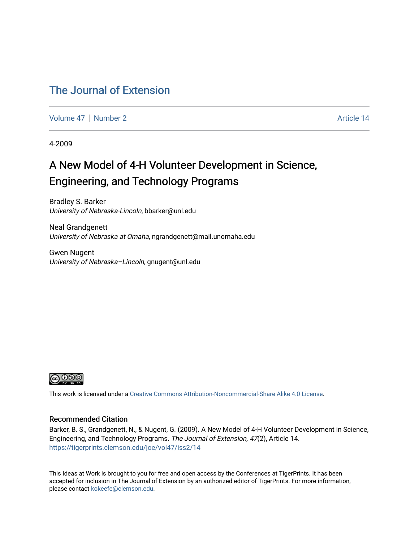#### [The Journal of Extension](https://tigerprints.clemson.edu/joe)

[Volume 47](https://tigerprints.clemson.edu/joe/vol47) | [Number 2](https://tigerprints.clemson.edu/joe/vol47/iss2) Article 14

4-2009

#### A New Model of 4-H Volunteer Development in Science, Engineering, and Technology Programs

Bradley S. Barker University of Nebraska-Lincoln, bbarker@unl.edu

Neal Grandgenett University of Nebraska at Omaha, ngrandgenett@mail.unomaha.edu

Gwen Nugent University of Nebraska-Lincoln, gnugent@unl.edu



This work is licensed under a [Creative Commons Attribution-Noncommercial-Share Alike 4.0 License.](https://creativecommons.org/licenses/by-nc-sa/4.0/)

#### Recommended Citation

Barker, B. S., Grandgenett, N., & Nugent, G. (2009). A New Model of 4-H Volunteer Development in Science, Engineering, and Technology Programs. The Journal of Extension, 47(2), Article 14. <https://tigerprints.clemson.edu/joe/vol47/iss2/14>

This Ideas at Work is brought to you for free and open access by the Conferences at TigerPrints. It has been accepted for inclusion in The Journal of Extension by an authorized editor of TigerPrints. For more information, please contact [kokeefe@clemson.edu](mailto:kokeefe@clemson.edu).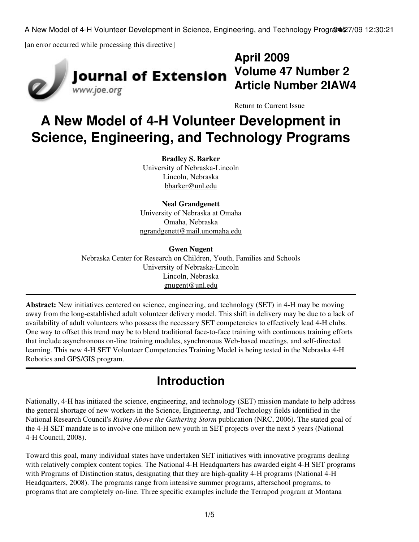A New Model of 4-H Volunteer Development in Science, Engineering, and Technology Program \$27/09 12:30:21

[an error occurred while processing this directive]





## **April 2009 Volume 47 Number 2 Article Number 2IAW4**

[Return to Current Issue](http://www.joe.org:80/joe/2009april/)

# **A New Model of 4-H Volunteer Development in Science, Engineering, and Technology Programs**

**Bradley S. Barker** University of Nebraska-Lincoln Lincoln, Nebraska [bbarker@unl.edu](mailto:bbarker@unl.edu)

**Neal Grandgenett** University of Nebraska at Omaha Omaha, Nebraska [ngrandgenett@mail.unomaha.edu](mailto:ngrandgenett@mail.unomaha.edu)

#### **Gwen Nugent**

Nebraska Center for Research on Children, Youth, Families and Schools University of Nebraska-Lincoln Lincoln, Nebraska [gnugent@unl.edu](mailto:gnugent@unl.edu)

**Abstract:** New initiatives centered on science, engineering, and technology (SET) in 4-H may be moving away from the long-established adult volunteer delivery model. This shift in delivery may be due to a lack of availability of adult volunteers who possess the necessary SET competencies to effectively lead 4-H clubs. One way to offset this trend may be to blend traditional face-to-face training with continuous training efforts that include asynchronous on-line training modules, synchronous Web-based meetings, and self-directed learning. This new 4-H SET Volunteer Competencies Training Model is being tested in the Nebraska 4-H Robotics and GPS/GIS program.

### **Introduction**

Nationally, 4-H has initiated the science, engineering, and technology (SET) mission mandate to help address the general shortage of new workers in the Science, Engineering, and Technology fields identified in the National Research Council's *Rising Above the Gathering Storm* publication (NRC, 2006). The stated goal of the 4-H SET mandate is to involve one million new youth in SET projects over the next 5 years (National 4-H Council, 2008).

Toward this goal, many individual states have undertaken SET initiatives with innovative programs dealing with relatively complex content topics. The National 4-H Headquarters has awarded eight 4-H SET programs with Programs of Distinction status, designating that they are high-quality 4-H programs (National 4-H Headquarters, 2008). The programs range from intensive summer programs, afterschool programs, to programs that are completely on-line. Three specific examples include the Terrapod program at Montana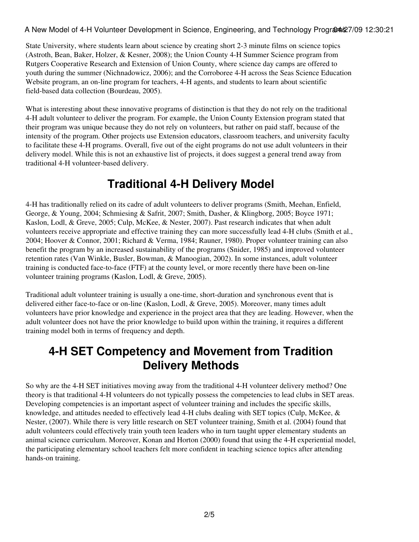A New Model of 4-H Volunteer Development in Science, Engineering, and Technology Program \$27/09 12:30:21

State University, where students learn about science by creating short 2-3 minute films on science topics (Astroth, Bean, Baker, Holzer, & Kesner, 2008); the Union County 4-H Summer Science program from Rutgers Cooperative Research and Extension of Union County, where science day camps are offered to youth during the summer (Nichnadowicz, 2006); and the Corroboree 4-H across the Seas Science Education Website program, an on-line program for teachers, 4-H agents, and students to learn about scientific field-based data collection (Bourdeau, 2005).

What is interesting about these innovative programs of distinction is that they do not rely on the traditional 4-H adult volunteer to deliver the program. For example, the Union County Extension program stated that their program was unique because they do not rely on volunteers, but rather on paid staff, because of the intensity of the program. Other projects use Extension educators, classroom teachers, and university faculty to facilitate these 4-H programs. Overall, five out of the eight programs do not use adult volunteers in their delivery model. While this is not an exhaustive list of projects, it does suggest a general trend away from traditional 4-H volunteer-based delivery.

#### **Traditional 4-H Delivery Model**

4-H has traditionally relied on its cadre of adult volunteers to deliver programs (Smith, Meehan, Enfield, George, & Young, 2004; Schmiesing & Safrit, 2007; Smith, Dasher, & Klingborg, 2005; Boyce 1971; Kaslon, Lodl, & Greve, 2005; Culp, McKee, & Nester, 2007). Past research indicates that when adult volunteers receive appropriate and effective training they can more successfully lead 4-H clubs (Smith et al., 2004; Hoover & Connor, 2001; Richard & Verma, 1984; Rauner, 1980). Proper volunteer training can also benefit the program by an increased sustainability of the programs (Snider, 1985) and improved volunteer retention rates (Van Winkle, Busler, Bowman, & Manoogian, 2002). In some instances, adult volunteer training is conducted face-to-face (FTF) at the county level, or more recently there have been on-line volunteer training programs (Kaslon, Lodl, & Greve, 2005).

Traditional adult volunteer training is usually a one-time, short-duration and synchronous event that is delivered either face-to-face or on-line (Kaslon, Lodl, & Greve, 2005). Moreover, many times adult volunteers have prior knowledge and experience in the project area that they are leading. However, when the adult volunteer does not have the prior knowledge to build upon within the training, it requires a different training model both in terms of frequency and depth.

#### **4-H SET Competency and Movement from Tradition Delivery Methods**

So why are the 4-H SET initiatives moving away from the traditional 4-H volunteer delivery method? One theory is that traditional 4-H volunteers do not typically possess the competencies to lead clubs in SET areas. Developing competencies is an important aspect of volunteer training and includes the specific skills, knowledge, and attitudes needed to effectively lead 4-H clubs dealing with SET topics (Culp, McKee, & Nester, (2007). While there is very little research on SET volunteer training, Smith et al. (2004) found that adult volunteers could effectively train youth teen leaders who in turn taught upper elementary students an animal science curriculum. Moreover, Konan and Horton (2000) found that using the 4-H experiential model, the participating elementary school teachers felt more confident in teaching science topics after attending hands-on training.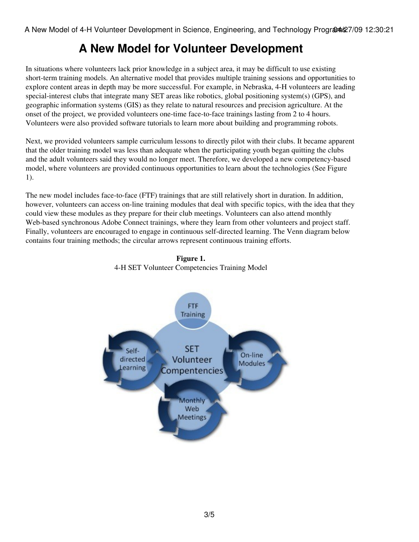### **A New Model for Volunteer Development**

In situations where volunteers lack prior knowledge in a subject area, it may be difficult to use existing short-term training models. An alternative model that provides multiple training sessions and opportunities to explore content areas in depth may be more successful. For example, in Nebraska, 4-H volunteers are leading special-interest clubs that integrate many SET areas like robotics, global positioning system(s) (GPS), and geographic information systems (GIS) as they relate to natural resources and precision agriculture. At the onset of the project, we provided volunteers one-time face-to-face trainings lasting from 2 to 4 hours. Volunteers were also provided software tutorials to learn more about building and programming robots.

Next, we provided volunteers sample curriculum lessons to directly pilot with their clubs. It became apparent that the older training model was less than adequate when the participating youth began quitting the clubs and the adult volunteers said they would no longer meet. Therefore, we developed a new competency-based model, where volunteers are provided continuous opportunities to learn about the technologies (See Figure 1).

The new model includes face-to-face (FTF) trainings that are still relatively short in duration. In addition, however, volunteers can access on-line training modules that deal with specific topics, with the idea that they could view these modules as they prepare for their club meetings. Volunteers can also attend monthly Web-based synchronous Adobe Connect trainings, where they learn from other volunteers and project staff. Finally, volunteers are encouraged to engage in continuous self-directed learning. The Venn diagram below contains four training methods; the circular arrows represent continuous training efforts.



**Figure 1.** 4-H SET Volunteer Competencies Training Model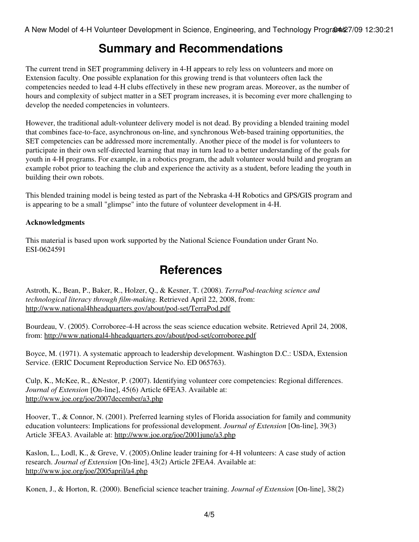#### **Summary and Recommendations**

The current trend in SET programming delivery in 4-H appears to rely less on volunteers and more on Extension faculty. One possible explanation for this growing trend is that volunteers often lack the competencies needed to lead 4-H clubs effectively in these new program areas. Moreover, as the number of hours and complexity of subject matter in a SET program increases, it is becoming ever more challenging to develop the needed competencies in volunteers.

However, the traditional adult-volunteer delivery model is not dead. By providing a blended training model that combines face-to-face, asynchronous on-line, and synchronous Web-based training opportunities, the SET competencies can be addressed more incrementally. Another piece of the model is for volunteers to participate in their own self-directed learning that may in turn lead to a better understanding of the goals for youth in 4-H programs. For example, in a robotics program, the adult volunteer would build and program an example robot prior to teaching the club and experience the activity as a student, before leading the youth in building their own robots.

This blended training model is being tested as part of the Nebraska 4-H Robotics and GPS/GIS program and is appearing to be a small "glimpse" into the future of volunteer development in 4-H.

#### **Acknowledgments**

This material is based upon work supported by the National Science Foundation under Grant No. ESI-0624591

#### **References**

Astroth, K., Bean, P., Baker, R., Holzer, Q., & Kesner, T. (2008). *TerraPod-teaching science and technological literacy through film-making.* Retrieved April 22, 2008, from: <http://www.national4hheadquarters.gov/about/pod-set/TerraPod.pdf>

Bourdeau, V. (2005). Corroboree-4-H across the seas science education website. Retrieved April 24, 2008, from: <http://www.national4-hheadquarters.gov/about/pod-set/corroboree.pdf>

Boyce, M. (1971). A systematic approach to leadership development. Washington D.C.: USDA, Extension Service. (ERIC Document Reproduction Service No. ED 065763).

Culp, K., McKee, R., &Nestor, P. (2007). Identifying volunteer core competencies: Regional differences. *Journal of Extension* [On-line], 45(6) Article 6FEA3. Available at: <http://www.joe.org/joe/2007december/a3.php>

Hoover, T., & Connor, N. (2001). Preferred learning styles of Florida association for family and community education volunteers: Implications for professional development. *Journal of Extension* [On-line], 39(3) Article 3FEA3. Available at:<http://www.joe.org/joe/2001june/a3.php>

Kaslon, L., Lodl, K., & Greve, V. (2005).Online leader training for 4-H volunteers: A case study of action research. *Journal of Extension* [On-line], 43(2) Article 2FEA4. Available at: <http://www.joe.org/joe/2005april/a4.php>

Konen, J., & Horton, R. (2000). Beneficial science teacher training. *Journal of Extension* [On-line], 38(2)